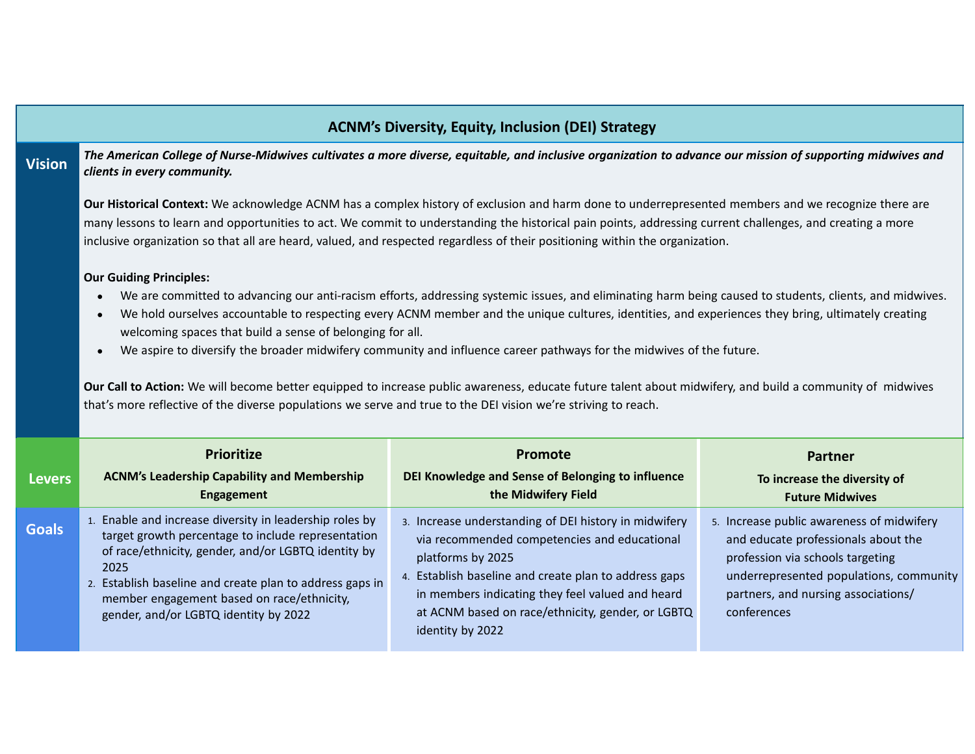| <b>ACNM's Diversity, Equity, Inclusion (DEI) Strategy</b> |                                                                                                                                                                                                                                                                                                                                                                                                                                                                                                                                                                                                                                                                                                                                                                                                                                   |                                                                                                                                                                                     |                                                                                                                                                                 |  |  |  |  |  |
|-----------------------------------------------------------|-----------------------------------------------------------------------------------------------------------------------------------------------------------------------------------------------------------------------------------------------------------------------------------------------------------------------------------------------------------------------------------------------------------------------------------------------------------------------------------------------------------------------------------------------------------------------------------------------------------------------------------------------------------------------------------------------------------------------------------------------------------------------------------------------------------------------------------|-------------------------------------------------------------------------------------------------------------------------------------------------------------------------------------|-----------------------------------------------------------------------------------------------------------------------------------------------------------------|--|--|--|--|--|
| <b>Vision</b>                                             | The American College of Nurse-Midwives cultivates a more diverse, equitable, and inclusive organization to advance our mission of supporting midwives and<br>clients in every community.                                                                                                                                                                                                                                                                                                                                                                                                                                                                                                                                                                                                                                          |                                                                                                                                                                                     |                                                                                                                                                                 |  |  |  |  |  |
|                                                           | Our Historical Context: We acknowledge ACNM has a complex history of exclusion and harm done to underrepresented members and we recognize there are<br>many lessons to learn and opportunities to act. We commit to understanding the historical pain points, addressing current challenges, and creating a more<br>inclusive organization so that all are heard, valued, and respected regardless of their positioning within the organization.                                                                                                                                                                                                                                                                                                                                                                                  |                                                                                                                                                                                     |                                                                                                                                                                 |  |  |  |  |  |
|                                                           | <b>Our Guiding Principles:</b><br>We are committed to advancing our anti-racism efforts, addressing systemic issues, and eliminating harm being caused to students, clients, and midwives.<br>We hold ourselves accountable to respecting every ACNM member and the unique cultures, identities, and experiences they bring, ultimately creating<br>welcoming spaces that build a sense of belonging for all.<br>We aspire to diversify the broader midwifery community and influence career pathways for the midwives of the future.<br>$\bullet$<br>Our Call to Action: We will become better equipped to increase public awareness, educate future talent about midwifery, and build a community of midwives<br>that's more reflective of the diverse populations we serve and true to the DEI vision we're striving to reach. |                                                                                                                                                                                     |                                                                                                                                                                 |  |  |  |  |  |
|                                                           | <b>Prioritize</b>                                                                                                                                                                                                                                                                                                                                                                                                                                                                                                                                                                                                                                                                                                                                                                                                                 | Promote                                                                                                                                                                             | <b>Partner</b>                                                                                                                                                  |  |  |  |  |  |
| <b>Levers</b>                                             | <b>ACNM's Leadership Capability and Membership</b><br><b>Engagement</b>                                                                                                                                                                                                                                                                                                                                                                                                                                                                                                                                                                                                                                                                                                                                                           | DEI Knowledge and Sense of Belonging to influence<br>the Midwifery Field                                                                                                            | To increase the diversity of<br><b>Future Midwives</b>                                                                                                          |  |  |  |  |  |
| <b>Goals</b>                                              | 1. Enable and increase diversity in leadership roles by<br>target growth percentage to include representation<br>of race/ethnicity, gender, and/or LGBTQ identity by<br>2025<br>2. Establish baseline and create plan to address gaps in                                                                                                                                                                                                                                                                                                                                                                                                                                                                                                                                                                                          | 3. Increase understanding of DEI history in midwifery<br>via recommended competencies and educational<br>platforms by 2025<br>4. Establish baseline and create plan to address gaps | 5. Increase public awareness of midwifery<br>and educate professionals about the<br>profession via schools targeting<br>underrepresented populations, community |  |  |  |  |  |

written authorization from the principal owner of the principal owner of the principal owner of the principal owner of the principal owner of the principal owner of the principal owner of the principal owner of the princip

IP.//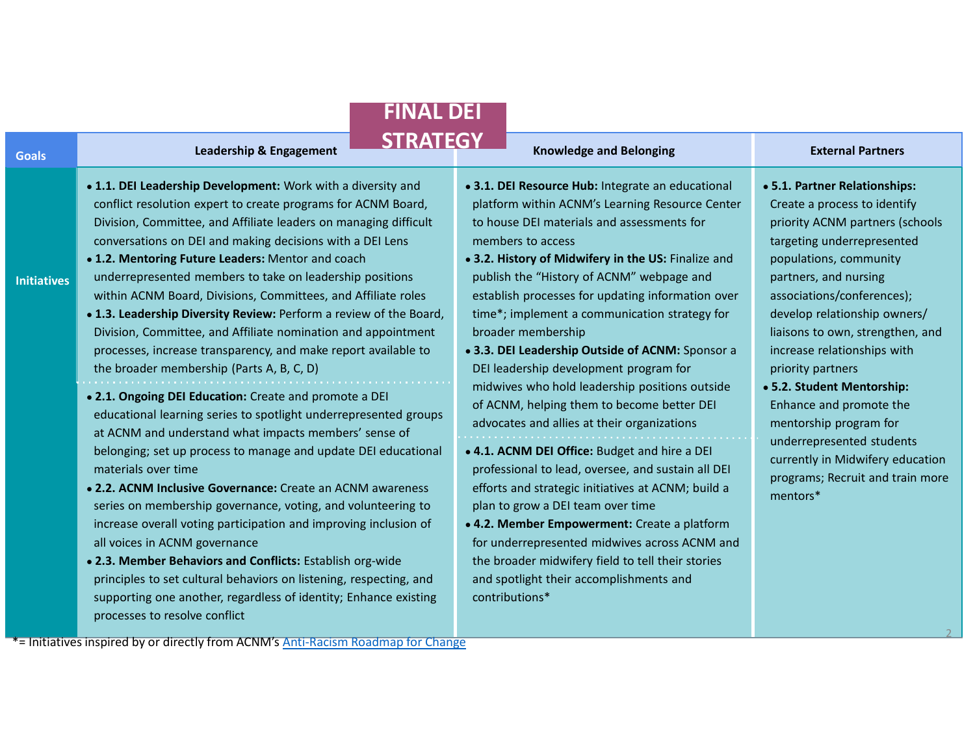| <b>FINAL DEI</b>   |                                                                                                                                                                                                                                                                                                                                                                                                                                                                                                                                                                                                                                                                                                                                                                                                                                                                                                                                                                                                                                                                                                                                                                                                                                                                                                                                                                                                                                                                   |                                                                                                                                                                                                                                                                                                                                                                                                                                                                                                                                                                                                                                                                                                                                                                                                                                                                                                                                                                                                                                                                          |                                                                                                                                                                                                                                                                                                                                                                                                                                                                                                                                             |  |  |  |  |
|--------------------|-------------------------------------------------------------------------------------------------------------------------------------------------------------------------------------------------------------------------------------------------------------------------------------------------------------------------------------------------------------------------------------------------------------------------------------------------------------------------------------------------------------------------------------------------------------------------------------------------------------------------------------------------------------------------------------------------------------------------------------------------------------------------------------------------------------------------------------------------------------------------------------------------------------------------------------------------------------------------------------------------------------------------------------------------------------------------------------------------------------------------------------------------------------------------------------------------------------------------------------------------------------------------------------------------------------------------------------------------------------------------------------------------------------------------------------------------------------------|--------------------------------------------------------------------------------------------------------------------------------------------------------------------------------------------------------------------------------------------------------------------------------------------------------------------------------------------------------------------------------------------------------------------------------------------------------------------------------------------------------------------------------------------------------------------------------------------------------------------------------------------------------------------------------------------------------------------------------------------------------------------------------------------------------------------------------------------------------------------------------------------------------------------------------------------------------------------------------------------------------------------------------------------------------------------------|---------------------------------------------------------------------------------------------------------------------------------------------------------------------------------------------------------------------------------------------------------------------------------------------------------------------------------------------------------------------------------------------------------------------------------------------------------------------------------------------------------------------------------------------|--|--|--|--|
| <b>Goals</b>       | <b>STRATEGY</b><br><b>Leadership &amp; Engagement</b>                                                                                                                                                                                                                                                                                                                                                                                                                                                                                                                                                                                                                                                                                                                                                                                                                                                                                                                                                                                                                                                                                                                                                                                                                                                                                                                                                                                                             | <b>Knowledge and Belonging</b>                                                                                                                                                                                                                                                                                                                                                                                                                                                                                                                                                                                                                                                                                                                                                                                                                                                                                                                                                                                                                                           | <b>External Partners</b>                                                                                                                                                                                                                                                                                                                                                                                                                                                                                                                    |  |  |  |  |
| <b>Initiatives</b> | . 1.1. DEI Leadership Development: Work with a diversity and<br>conflict resolution expert to create programs for ACNM Board,<br>Division, Committee, and Affiliate leaders on managing difficult<br>conversations on DEI and making decisions with a DEI Lens<br>. 1.2. Mentoring Future Leaders: Mentor and coach<br>underrepresented members to take on leadership positions<br>within ACNM Board, Divisions, Committees, and Affiliate roles<br>. 1.3. Leadership Diversity Review: Perform a review of the Board,<br>Division, Committee, and Affiliate nomination and appointment<br>processes, increase transparency, and make report available to<br>the broader membership (Parts A, B, C, D)<br>. 2.1. Ongoing DEI Education: Create and promote a DEI<br>educational learning series to spotlight underrepresented groups<br>at ACNM and understand what impacts members' sense of<br>belonging; set up process to manage and update DEI educational<br>materials over time<br>• 2.2. ACNM Inclusive Governance: Create an ACNM awareness<br>series on membership governance, voting, and volunteering to<br>increase overall voting participation and improving inclusion of<br>all voices in ACNM governance<br>. 2.3. Member Behaviors and Conflicts: Establish org-wide<br>principles to set cultural behaviors on listening, respecting, and<br>supporting one another, regardless of identity; Enhance existing<br>processes to resolve conflict | .3.1. DEI Resource Hub: Integrate an educational<br>platform within ACNM's Learning Resource Center<br>to house DEI materials and assessments for<br>members to access<br>. 3.2. History of Midwifery in the US: Finalize and<br>publish the "History of ACNM" webpage and<br>establish processes for updating information over<br>time*; implement a communication strategy for<br>broader membership<br>• 3.3. DEI Leadership Outside of ACNM: Sponsor a<br>DEI leadership development program for<br>midwives who hold leadership positions outside<br>of ACNM, helping them to become better DEI<br>advocates and allies at their organizations<br>. 4.1. ACNM DEI Office: Budget and hire a DEI<br>professional to lead, oversee, and sustain all DEI<br>efforts and strategic initiatives at ACNM; build a<br>plan to grow a DEI team over time<br>• 4.2. Member Empowerment: Create a platform<br>for underrepresented midwives across ACNM and<br>the broader midwifery field to tell their stories<br>and spotlight their accomplishments and<br>contributions* | • 5.1. Partner Relationships:<br>Create a process to identify<br>priority ACNM partners (schools<br>targeting underrepresented<br>populations, community<br>partners, and nursing<br>associations/conferences);<br>develop relationship owners/<br>liaisons to own, strengthen, and<br>increase relationships with<br>priority partners<br>• 5.2. Student Mentorship:<br>Enhance and promote the<br>mentorship program for<br>underrepresented students<br>currently in Midwifery education<br>programs; Recruit and train more<br>mentors* |  |  |  |  |
|                    | *= Initiatives inspired by or directly from ACNM's Anti-Racism Roadmap for Change                                                                                                                                                                                                                                                                                                                                                                                                                                                                                                                                                                                                                                                                                                                                                                                                                                                                                                                                                                                                                                                                                                                                                                                                                                                                                                                                                                                 |                                                                                                                                                                                                                                                                                                                                                                                                                                                                                                                                                                                                                                                                                                                                                                                                                                                                                                                                                                                                                                                                          |                                                                                                                                                                                                                                                                                                                                                                                                                                                                                                                                             |  |  |  |  |